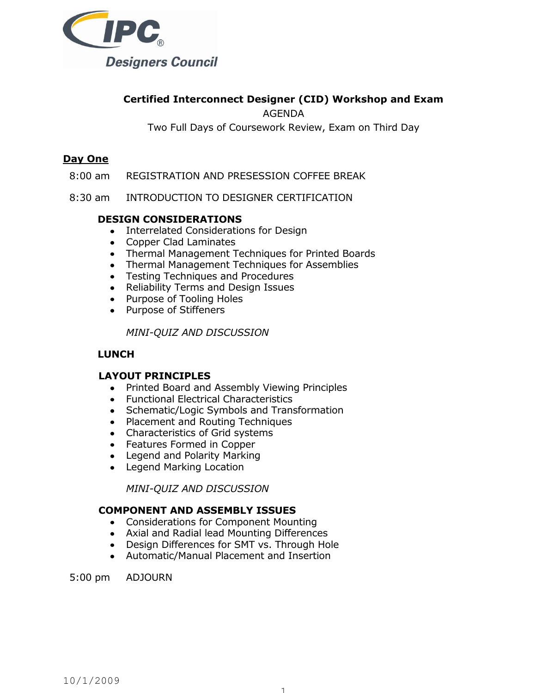

# **Certified Interconnect Designer (CID) Workshop and Exam**

AGENDA

Two Full Days of Coursework Review, Exam on Third Day

## **Day One**

- 8:00 am REGISTRATION AND PRESESSION COFFEE BREAK
- 8:30 am INTRODUCTION TO DESIGNER CERTIFICATION

### **DESIGN CONSIDERATIONS**

- Interrelated Considerations for Design
- Copper Clad Laminates
- Thermal Management Techniques for Printed Boards
- Thermal Management Techniques for Assemblies
- Testing Techniques and Procedures
- Reliability Terms and Design Issues
- Purpose of Tooling Holes
- Purpose of Stiffeners

*MINI-QUIZ AND DISCUSSION*

### **LUNCH**

### **LAYOUT PRINCIPLES**

- Printed Board and Assembly Viewing Principles
- Functional Electrical Characteristics
- Schematic/Logic Symbols and Transformation
- Placement and Routing Techniques
- Characteristics of Grid systems
- Features Formed in Copper
- Legend and Polarity Marking
- Legend Marking Location

*MINI-QUIZ AND DISCUSSION*

### **COMPONENT AND ASSEMBLY ISSUES**

- Considerations for Component Mounting
- Axial and Radial lead Mounting Differences
- Design Differences for SMT vs. Through Hole
- Automatic/Manual Placement and Insertion

5:00 pm ADJOURN